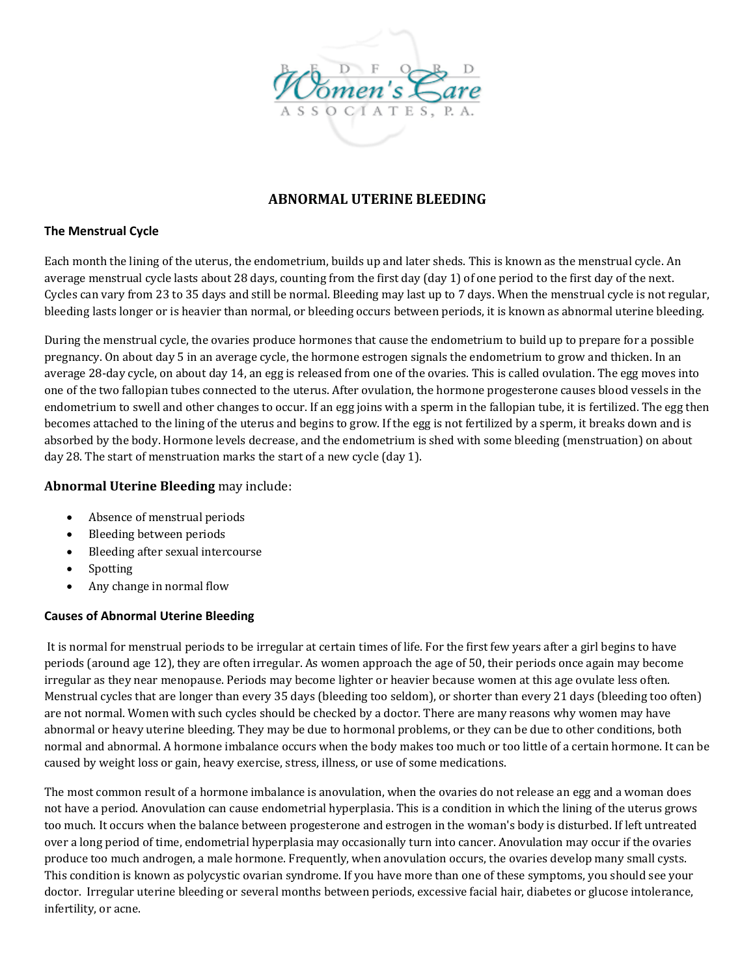

# **ABNORMAL UTERINE BLEEDING**

### **The Menstrual Cycle**

Each month the lining of the uterus, the endometrium, builds up and later sheds. This is known as the menstrual cycle. An average menstrual cycle lasts about 28 days, counting from the first day (day 1) of one period to the first day of the next. Cycles can vary from 23 to 35 days and still be normal. Bleeding may last up to 7 days. When the menstrual cycle is not regular, bleeding lasts longer or is heavier than normal, or bleeding occurs between periods, it is known as abnormal uterine bleeding.

During the menstrual cycle, the ovaries produce hormones that cause the endometrium to build up to prepare for a possible pregnancy. On about day 5 in an average cycle, the hormone estrogen signals the endometrium to grow and thicken. In an average 28‐day cycle, on about day 14, an egg is released from one of the ovaries. This is called ovulation. The egg moves into one of the two fallopian tubes connected to the uterus. After ovulation, the hormone progesterone causes blood vessels in the endometrium to swell and other changes to occur. If an egg joins with a sperm in the fallopian tube, it is fertilized. The egg then becomes attached to the lining of the uterus and begins to grow. If the egg is not fertilized by a sperm, it breaks down and is absorbed by the body. Hormone levels decrease, and the endometrium is shed with some bleeding (menstruation) on about day 28. The start of menstruation marks the start of a new cycle (day 1).

# **Abnormal Uterine Bleeding** may include:

- Absence of menstrual periods
- Bleeding between periods
- Bleeding after sexual intercourse
- **Spotting**
- Any change in normal flow

### **Causes of Abnormal Uterine Bleeding**

It is normal for menstrual periods to be irregular at certain times of life. For the first few years after a girl begins to have periods (around age 12), they are often irregular. As women approach the age of 50, their periods once again may become irregular as they near menopause. Periods may become lighter or heavier because women at this age ovulate less often. Menstrual cycles that are longer than every 35 days (bleeding too seldom), or shorter than every 21 days (bleeding too often) are not normal. Women with such cycles should be checked by a doctor. There are many reasons why women may have abnormal or heavy uterine bleeding. They may be due to hormonal problems, or they can be due to other conditions, both normal and abnormal. A hormone imbalance occurs when the body makes too much or too little of a certain hormone. It can be caused by weight loss or gain, heavy exercise, stress, illness, or use of some medications.

The most common result of a hormone imbalance is anovulation, when the ovaries do not release an egg and a woman does not have a period. Anovulation can cause endometrial hyperplasia. This is a condition in which the lining of the uterus grows too much. It occurs when the balance between progesterone and estrogen in the woman's body is disturbed. If left untreated over a long period of time, endometrial hyperplasia may occasionally turn into cancer. Anovulation may occur if the ovaries produce too much androgen, a male hormone. Frequently, when anovulation occurs, the ovaries develop many small cysts. This condition is known as polycystic ovarian syndrome. If you have more than one of these symptoms, you should see your doctor. Irregular uterine bleeding or several months between periods, excessive facial hair, diabetes or glucose intolerance, infertility, or acne.